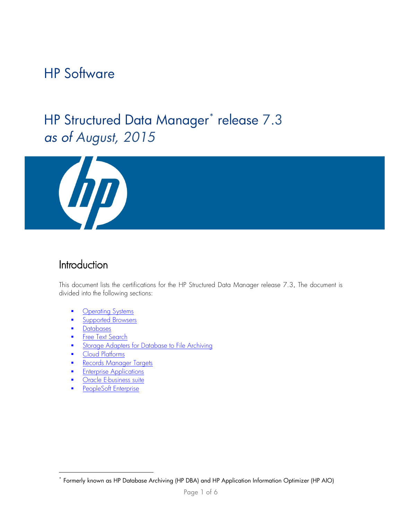# HP Software

# HP Structured Data Manager<sup>[\\*](#page-0-1)</sup> release 7.3 *as of August, 2015*



## Introduction

This document lists the certifications for the HP Structured Data Manager release 7.3. The document is divided into the following sections:

- [Operating Systems](#page-0-0)
- **[Supported Browsers](#page-1-0)**
- **[Databases](#page-2-0)**

<span id="page-0-0"></span>-

- **[Free Text Search](#page-3-0)**
- **Storage Adapters for Database to File Archiving**
- **[Cloud Platforms](#page-3-2)**
- **[Records Manager](#page-3-3) Targets**
- **[Enterprise Applications](#page-3-4)**
- **Cracle E-business suite**
- [PeopleSoft Enterprise](#page-5-0)

<span id="page-0-1"></span><sup>\*</sup> Formerly known as HP Database Archiving (HP DBA) and HP Application Information Optimizer (HP AIO)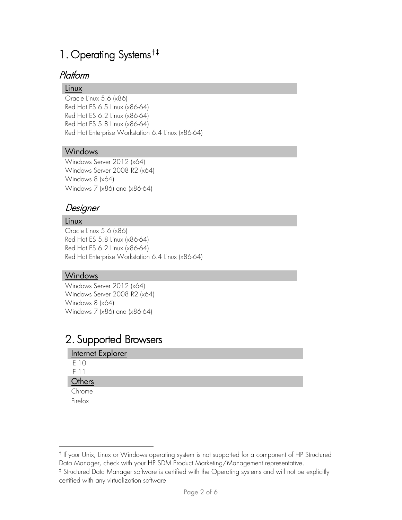# 1. Operating Systems[†](#page-1-1)[‡](#page-1-2)

### **Platform**

#### Linux

Oracle Linux 5.6 (x86) Red Hat ES 6.5 Linux (x86-64) Red Hat ES 6.2 Linux (x86-64) Red Hat ES 5.8 Linux (x86-64) Red Hat Enterprise Workstation 6.4 Linux (x86-64)

#### Windows

Windows Server 2012 (x64) Windows Server 2008 R2 (x64) Windows 8 (x64) Windows 7 (x86) and (x86-64)

### **Designer**

#### Linux

Oracle Linux 5.6 (x86) Red Hat ES 5.8 Linux (x86-64) Red Hat ES 6.2 Linux (x86-64) Red Hat Enterprise Workstation 6.4 Linux (x86-64)

#### Windows

-

Windows Server 2012 (x64) Windows Server 2008 R2 (x64) Windows 8 (x64) Windows 7 (x86) and (x86-64)

# <span id="page-1-0"></span>2. Supported Browsers

| Internet Explorer |
|-------------------|
| <b>IE 10</b>      |
| IF 11             |
| Others            |
| Chrome            |
| Firefox           |

<span id="page-1-1"></span><sup>†</sup> If your Unix, Linux or Windows operating system is not supported for a component of HP Structured Data Manager, check with your HP SDM Product Marketing/Management representative.

<span id="page-1-2"></span><sup>‡</sup> Structured Data Manager software is certified with the Operating systems and will not be explicitly certified with any virtualization software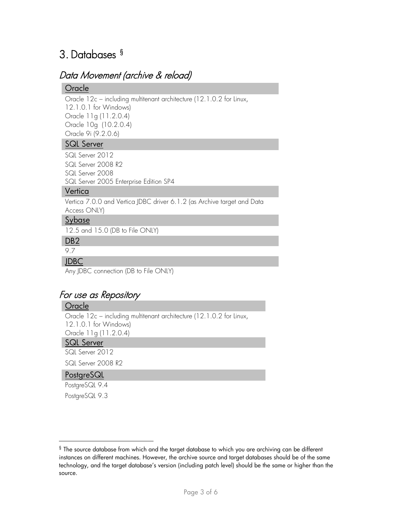## <span id="page-2-0"></span>3. Databases [§](#page-2-1)

### Data Movement (archive & reload)

#### Oracle

Oracle 12c – including multitenant architecture (12.1.0.2 for Linux, 12.1.0.1 for Windows) Oracle 11g (11.2.0.4) Oracle 10g (10.2.0.4) Oracle 9i (9.2.0.6)

#### SQL Server

SQL Server 2012 SQL Server 2008 R2 SQL Server 2008 SQL Server 2005 Enterprise Edition SP4

#### **Vertica**

Vertica 7.0.0 and Vertica JDBC driver 6.1.2 (as Archive target and Data Access ONLY)

#### Sybase

12.5 and 15.0 (DB to File ONLY)

#### D<sub>B</sub>2

9.7

#### JDBC

Any JDBC connection (DB to File ONLY)

### For use as Repository

#### Oracle

Oracle 12c – including multitenant architecture (12.1.0.2 for Linux, 12.1.0.1 for Windows) Oracle 11g (11.2.0.4)

#### SQL Server

SQL Server 2012 SQL Server 2008 R2

#### **PostgreSQL**

PostgreSQL 9.4 PostgreSQL 9.3

<span id="page-2-1"></span> $\frac{6}{3}$  The source database from which and the target database to which you are archiving can be different instances on different machines. However, the archive source and target databases should be of the same technology, and the target database's version (including patch level) should be the same or higher than the source.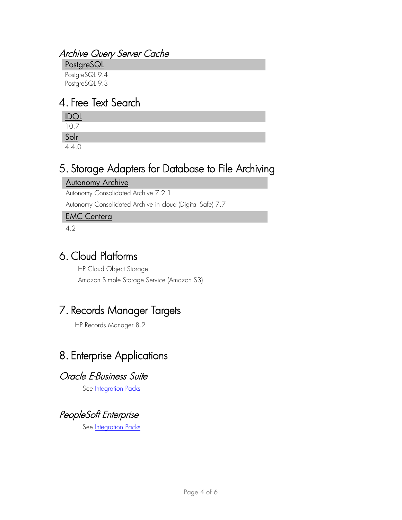### Archive Query Server Cache

PostgreSQL PostgreSQL 9.4

PostgreSQL 9.3

# <span id="page-3-0"></span>4. Free Text Search

|         | $\underline{\text{IDOL}}$ |  |  |  |
|---------|---------------------------|--|--|--|
| 107     |                           |  |  |  |
| $S$ olr |                           |  |  |  |
|         |                           |  |  |  |

# <span id="page-3-1"></span>5. Storage Adapters for Database to File Archiving

#### Autonomy Archive

Autonomy Consolidated Archive 7.2.1

Autonomy Consolidated Archive in cloud (Digital Safe) 7.7

#### **EMC Centera**

4.2

# <span id="page-3-2"></span>6. Cloud Platforms

HP Cloud Object Storage Amazon Simple Storage Service (Amazon S3)

# <span id="page-3-3"></span>7. Records Manager Targets

HP Records Manager 8.2

# <span id="page-3-4"></span>8. Enterprise Applications

### Oracle E-Business Suite

See [Integration Packs](#page-4-0)

### PeopleSoft Enterprise

See **Integration Packs**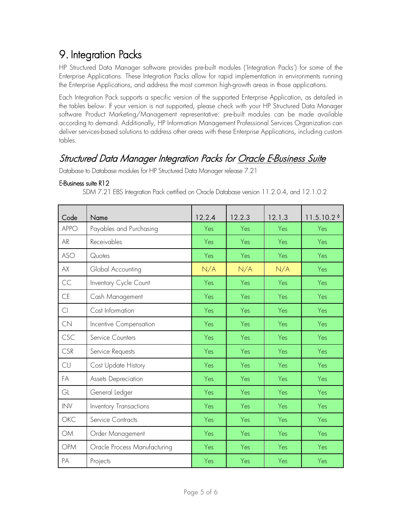# 9. Integration Packs

HP Structured Data Manager software provides pre-built modules ('Integration Packs') for some of the Enterprise Applications. These Integration Packs allow for rapid implementation in environments running the Enterprise Applications, and address the most common high-growth areas in those applications.

Each Integration Pack supports a specific version of the supported Enterprise Application, as detailed in the tables below. If your version is not supported, please check with your HP Structured Data Manager software Product Marketing/Management representative: pre-built modules can be made available according to demand. Additionally, HP Information Management Professional Services Organization can deliver services-based solutions to address other areas with these Enterprise Applications, including custom tables.

### <span id="page-4-0"></span>Structured Data Manager Integration Packs for Oracle E-Business Suite

Database to Database modules for HP Structured Data Manager release 7.21

#### E-Business suite R12

SDM 7.21 EBS Integration Pack certified on Oracle Database version 11.2.0.4, and 12.1.0.2

| Code        | Name                         | 12.2.4 | 12.2.3     | 12.1.3 | $11.5.10.2$ $\circ$ |
|-------------|------------------------------|--------|------------|--------|---------------------|
| <b>APPO</b> | Payables and Purchasing      | Yes    | Yes        | Yes    | Yes                 |
| <b>AR</b>   | Receivables                  | Yes    | Yes        | Yes    | Yes                 |
| <b>ASO</b>  | Quotes                       | Yes    | Yes        | Yes    | Yes                 |
| AX          | Global Accounting            | N/A    | N/A        | N/A    | Yes                 |
| CC          | Inventory Cycle Count        | Yes    | Yes        | Yes    | Yes                 |
| <b>CE</b>   | Cash Management              | Yes    | <b>Yes</b> | Yes    | Yes                 |
| Cl          | Cost Information             | Yes    | Yes        | Yes    | Yes                 |
| CN          | Incentive Compensation       | Yes    | Yes        | Yes    | Yes                 |
| CSC         | Service Counters             | Yes    | Yes        | Yes    | Yes                 |
| CSR         | Service Requests             | Yes    | Yes        | Yes    | Yes                 |
| CU          | Cost Update History          | Yes    | Yes        | Yes    | Yes                 |
| FA          | Assets Depreciation          | Yes    | Yes        | Yes    | Yes                 |
| GL          | General Ledger               | Yes    | Yes        | Yes    | Yes                 |
| INV         | Inventory Transactions       | Yes    | Yes        | Yes    | Yes                 |
| <b>OKC</b>  | Service Contracts            | Yes    | Yes        | Yes    | Yes                 |
| <b>OM</b>   | Order Management             | Yes    | Yes        | Yes    | Yes                 |
| OPM         | Oracle Process Manufacturing | Yes    | Yes        | Yes    | Yes                 |
| PA          | Projects                     | Yes    | Yes        | Yes    | Yes                 |